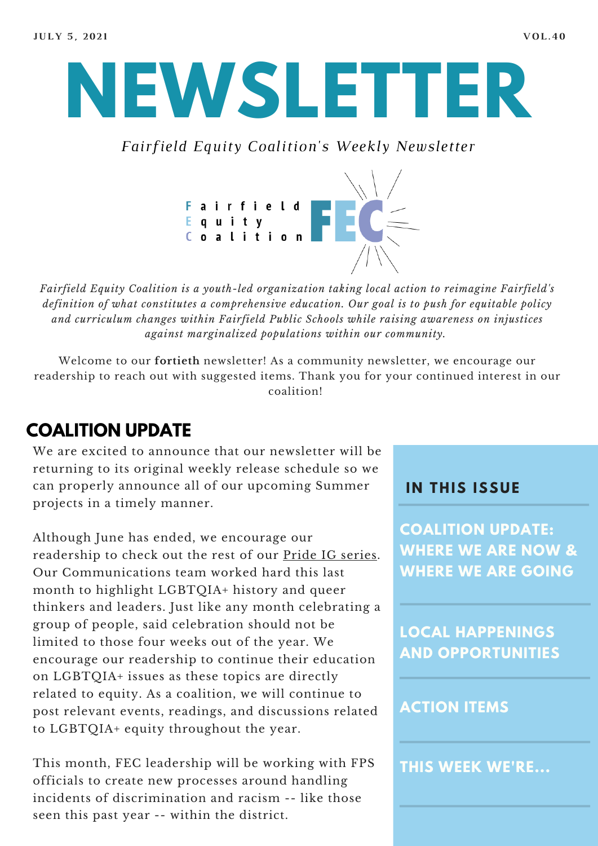

*Fairfield Equity Coalition's Weekly Newsletter*



*Fairfield Equity Coalition is a youth-led organization taking local action to reimagine Fairfield's definition of what constitutes a comprehensive education. Our goal is to push for equitable policy and curriculum changes within Fairfield Public Schools while raising awareness on injustices against marginalized populations within our community.*

Welcome to our **fortieth** newsletter! As a community newsletter, we encourage our readership to reach out with suggested items. Thank you for your continued interest in our coalition!

# **COALITION UPDATE**

We are excited to announce that our newsletter will be returning to its original weekly release schedule so we can properly announce all of our upcoming Summer projects in a timely manner.

Although June has ended, we encourage our readership to check out the rest of our Pride IG [series.](https://www.instagram.com/fairfieldequitycoalition/?hl=en) Our Communications team worked hard this last month to highlight LGBTQIA+ history and queer thinkers and leaders. Just like any month celebrating a group of people, said celebration should not be limited to those four weeks out of the year. We encourage our readership to continue their education on LGBTQIA+ issues as these topics are directly related to equity. As a coalition, we will continue to post relevant events, readings, and discussions related to LGBTQIA+ equity throughout the year.

This month, FEC leadership will be working with FPS officials to create new processes around handling incidents of discrimination and racism -- like those seen this past year -- within the district.

#### **I N THIS ISSUE**

**COALITION UPDATE: WHERE WE ARE NOW & WHERE WE ARE GOING**

**LOCAL HAPPENINGS AND OPPORTUNITIES**

### **ACTION ITEMS**

**THIS WEEK WE'RE...**